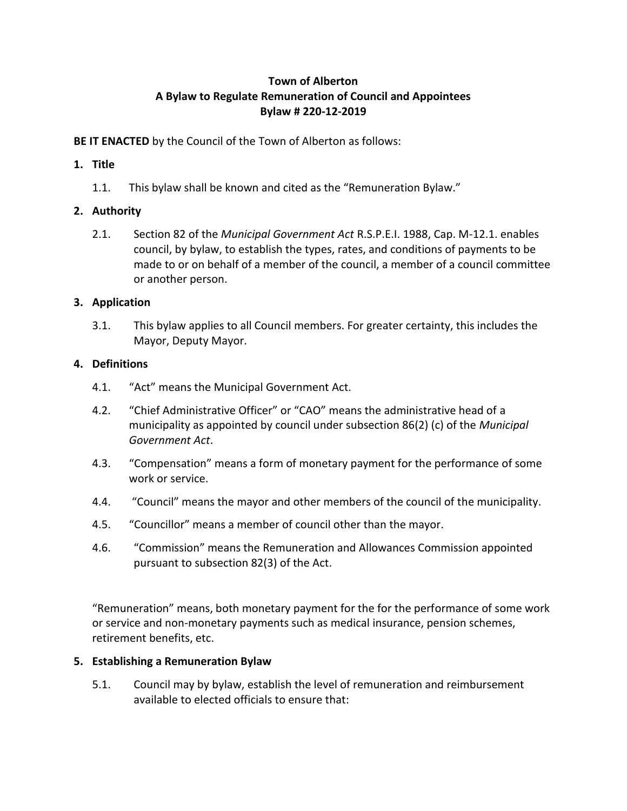# **Town of Alberton A Bylaw to Regulate Remuneration of Council and Appointees Bylaw # 220-12-2019**

**BE IT ENACTED** by the Council of the Town of Alberton as follows:

# **1. Title**

1.1. This bylaw shall be known and cited as the "Remuneration Bylaw."

# **2. Authority**

2.1. Section 82 of the *Municipal Government Act* R.S.P.E.I. 1988, Cap. M-12.1. enables council, by bylaw, to establish the types, rates, and conditions of payments to be made to or on behalf of a member of the council, a member of a council committee or another person.

## **3. Application**

3.1. This bylaw applies to all Council members. For greater certainty, this includes the Mayor, Deputy Mayor.

## **4. Definitions**

- 4.1. "Act" means the Municipal Government Act.
- 4.2. "Chief Administrative Officer" or "CAO" means the administrative head of a municipality as appointed by council under subsection 86(2) (c) of the *Municipal Government Act*.
- 4.3. "Compensation" means a form of monetary payment for the performance of some work or service.
- 4.4. "Council" means the mayor and other members of the council of the municipality.
- 4.5. "Councillor" means a member of council other than the mayor.
- 4.6. "Commission" means the Remuneration and Allowances Commission appointed pursuant to subsection 82(3) of the Act.

"Remuneration" means, both monetary payment for the for the performance of some work or service and non-monetary payments such as medical insurance, pension schemes, retirement benefits, etc.

## **5. Establishing a Remuneration Bylaw**

5.1. Council may by bylaw, establish the level of remuneration and reimbursement available to elected officials to ensure that: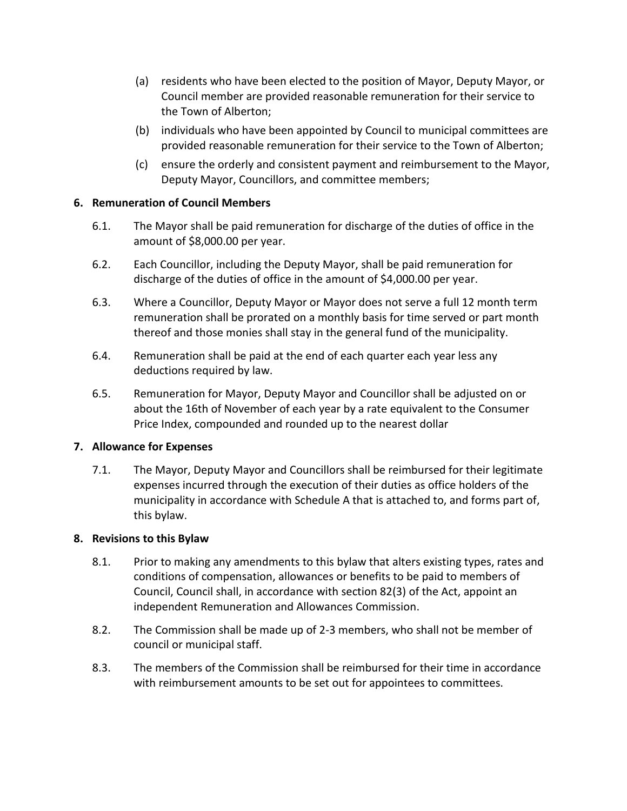- (a) residents who have been elected to the position of Mayor, Deputy Mayor, or Council member are provided reasonable remuneration for their service to the Town of Alberton;
- (b) individuals who have been appointed by Council to municipal committees are provided reasonable remuneration for their service to the Town of Alberton;
- (c) ensure the orderly and consistent payment and reimbursement to the Mayor, Deputy Mayor, Councillors, and committee members;

### **6. Remuneration of Council Members**

- 6.1. The Mayor shall be paid remuneration for discharge of the duties of office in the amount of \$8,000.00 per year.
- 6.2. Each Councillor, including the Deputy Mayor, shall be paid remuneration for discharge of the duties of office in the amount of \$4,000.00 per year.
- 6.3. Where a Councillor, Deputy Mayor or Mayor does not serve a full 12 month term remuneration shall be prorated on a monthly basis for time served or part month thereof and those monies shall stay in the general fund of the municipality.
- 6.4. Remuneration shall be paid at the end of each quarter each year less any deductions required by law.
- 6.5. Remuneration for Mayor, Deputy Mayor and Councillor shall be adjusted on or about the 16th of November of each year by a rate equivalent to the Consumer Price Index, compounded and rounded up to the nearest dollar

#### **7. Allowance for Expenses**

7.1. The Mayor, Deputy Mayor and Councillors shall be reimbursed for their legitimate expenses incurred through the execution of their duties as office holders of the municipality in accordance with Schedule A that is attached to, and forms part of, this bylaw.

## **8. Revisions to this Bylaw**

- 8.1. Prior to making any amendments to this bylaw that alters existing types, rates and conditions of compensation, allowances or benefits to be paid to members of Council, Council shall, in accordance with section 82(3) of the Act, appoint an independent Remuneration and Allowances Commission.
- 8.2. The Commission shall be made up of 2-3 members, who shall not be member of council or municipal staff.
- 8.3. The members of the Commission shall be reimbursed for their time in accordance with reimbursement amounts to be set out for appointees to committees.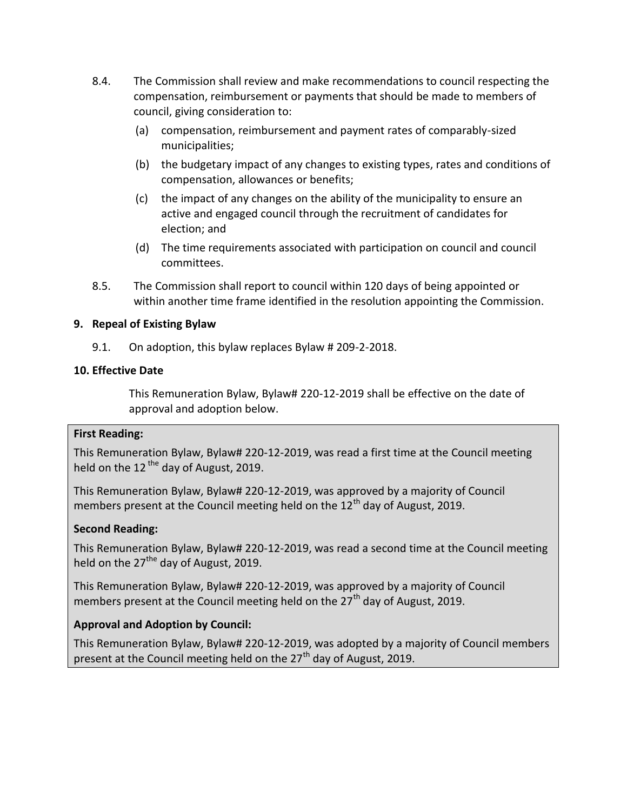- 8.4. The Commission shall review and make recommendations to council respecting the compensation, reimbursement or payments that should be made to members of council, giving consideration to:
	- (a) compensation, reimbursement and payment rates of comparably-sized municipalities;
	- (b) the budgetary impact of any changes to existing types, rates and conditions of compensation, allowances or benefits;
	- (c) the impact of any changes on the ability of the municipality to ensure an active and engaged council through the recruitment of candidates for election; and
	- (d) The time requirements associated with participation on council and council committees.
- 8.5. The Commission shall report to council within 120 days of being appointed or within another time frame identified in the resolution appointing the Commission.

### **9. Repeal of Existing Bylaw**

9.1. On adoption, this bylaw replaces Bylaw # 209-2-2018.

### **10. Effective Date**

This Remuneration Bylaw, Bylaw# 220-12-2019 shall be effective on the date of approval and adoption below.

#### **First Reading:**

This Remuneration Bylaw, Bylaw# 220-12-2019, was read a first time at the Council meeting held on the 12<sup>the</sup> day of August, 2019.

This Remuneration Bylaw, Bylaw# 220-12-2019, was approved by a majority of Council members present at the Council meeting held on the 12<sup>th</sup> day of August, 2019.

## **Second Reading:**

This Remuneration Bylaw, Bylaw# 220-12-2019, was read a second time at the Council meeting held on the  $27<sup>the</sup>$  day of August, 2019.

This Remuneration Bylaw, Bylaw# 220-12-2019, was approved by a majority of Council members present at the Council meeting held on the  $27<sup>th</sup>$  day of August, 2019.

## **Approval and Adoption by Council:**

This Remuneration Bylaw, Bylaw# 220-12-2019, was adopted by a majority of Council members present at the Council meeting held on the 27<sup>th</sup> day of August, 2019.